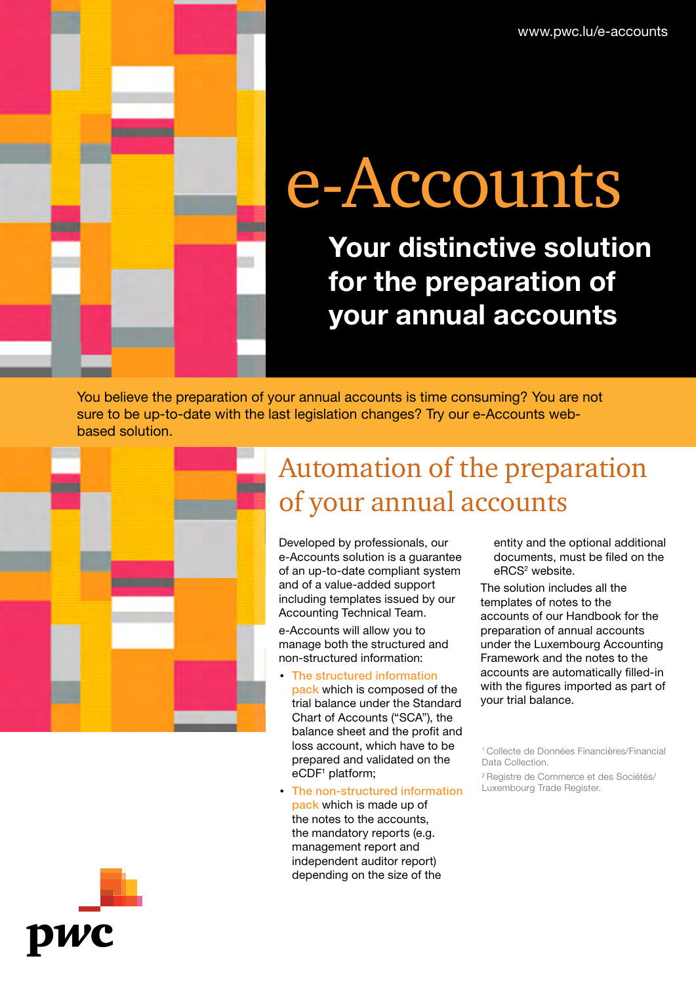www.pwc.lu/e-accounts

# e-Accounts

Your distinctive solution for the preparation of your annual accounts

You believe the preparation of your annual accounts is time consuming? You are not sure to be up-to-date with the last legislation changes? Try our e-Accounts webbased solution.



## Automation of the preparation of your annual accounts

Developed by professionals, our e-Accounts solution is a guarantee of an up-to-date compliant system and of a value-added support including templates issued by our Accounting Technical Team.

e-Accounts will allow you to manage both the structured and non-structured information:

- *•* The structured information pack which is composed of the trial balance under the Standard Chart of Accounts ("SCA"), the balance sheet and the profit and loss account, which have to be prepared and validated on the eCDF<sup>1</sup> platform;
- *•* The non-structured information pack which is made up of the notes to the accounts, the mandatory reports (e.g. management report and independent auditor report) depending on the size of the

entity and the optional additional documents, must be filed on the eRCS<sup>2</sup> website.

The solution includes all the templates of notes to the accounts of our Handbook for the preparation of annual accounts under the Luxembourg Accounting Framework and the notes to the accounts are automatically filled-in with the figures imported as part of your trial balance.

2 Registre de Commerce et des Sociétés/ Luxembourg Trade Register.



<sup>1</sup> Collecte de Données Financières/Financial Data Collection.